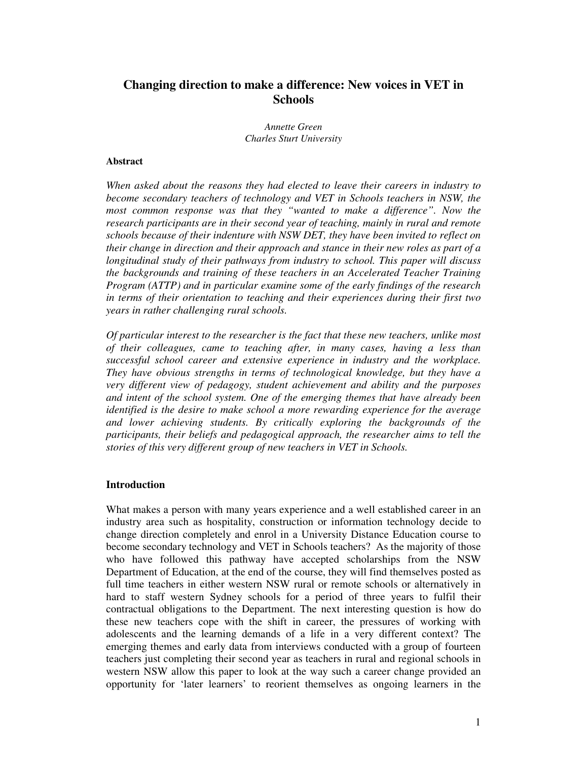# **Changing direction to make a difference: New voices in VET in Schools**

*Annette Green Charles Sturt University*

#### **Abstract**

*When asked about the reasons they had elected to leave their careers in industry to become secondary teachers of technology and VET in Schools teachers in NSW, the most common response was that they "wanted to make a difference". Now the research participants are in their second year of teaching, mainly in rural and remote schools because of their indenture with NSW DET, they have been invited to reflect on their change in direction and their approach and stance in their new roles as part of a longitudinal study of their pathways from industry to school. This paper will discuss the backgrounds and training of these teachers in an Accelerated Teacher Training Program (ATTP) and in particular examine some of the early findings of the research in terms of their orientation to teaching and their experiences during their first two years in rather challenging rural schools.*

*Of particular interest to the researcher is the fact that these new teachers, unlike most of their colleagues, came to teaching after, in many cases, having a less than successful school career and extensive experience in industry and the workplace. They have obvious strengths in terms of technological knowledge, but they have a very different view of pedagogy, student achievement and ability and the purposes and intent of the school system. One of the emerging themes that have already been identified is the desire to make school a more rewarding experience for the average and lower achieving students. By critically exploring the backgrounds of the participants, their beliefs and pedagogical approach, the researcher aims to tell the stories of this very different group of new teachers in VET in Schools.*

#### **Introduction**

What makes a person with many years experience and a well established career in an industry area such as hospitality, construction or information technology decide to change direction completely and enrol in a University Distance Education course to become secondary technology and VET in Schools teachers? As the majority of those who have followed this pathway have accepted scholarships from the NSW Department of Education, at the end of the course, they will find themselves posted as full time teachers in either western NSW rural or remote schools or alternatively in hard to staff western Sydney schools for a period of three years to fulfil their contractual obligations to the Department. The next interesting question is how do these new teachers cope with the shift in career, the pressures of working with adolescents and the learning demands of a life in a very different context? The emerging themes and early data from interviews conducted with a group of fourteen teachers just completing their second year as teachers in rural and regional schools in western NSW allow this paper to look at the way such a career change provided an opportunity for 'later learners' to reorient themselves as ongoing learners in the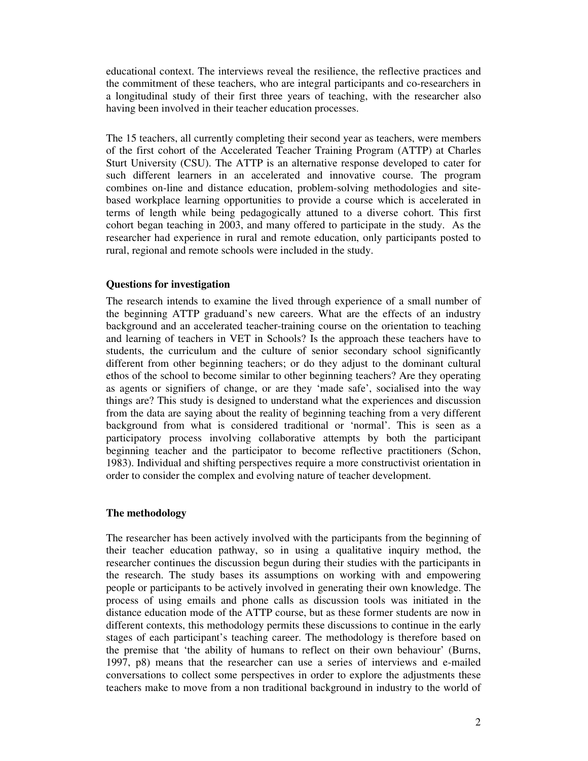educational context. The interviews reveal the resilience, the reflective practices and the commitment of these teachers, who are integral participants and co-researchers in a longitudinal study of their first three years of teaching, with the researcher also having been involved in their teacher education processes.

The 15 teachers, all currently completing their second year as teachers, were members of the first cohort of the Accelerated Teacher Training Program (ATTP) at Charles Sturt University (CSU). The ATTP is an alternative response developed to cater for such different learners in an accelerated and innovative course. The program combines on-line and distance education, problem-solving methodologies and sitebased workplace learning opportunities to provide a course which is accelerated in terms of length while being pedagogically attuned to a diverse cohort. This first cohort began teaching in 2003, and many offered to participate in the study. As the researcher had experience in rural and remote education, only participants posted to rural, regional and remote schools were included in the study.

# **Questions for investigation**

The research intends to examine the lived through experience of a small number of the beginning ATTP graduand's new careers. What are the effects of an industry background and an accelerated teacher-training course on the orientation to teaching and learning of teachers in VET in Schools? Is the approach these teachers have to students, the curriculum and the culture of senior secondary school significantly different from other beginning teachers; or do they adjust to the dominant cultural ethos of the school to become similar to other beginning teachers? Are they operating as agents or signifiers of change, or are they 'made safe', socialised into the way things are? This study is designed to understand what the experiences and discussion from the data are saying about the reality of beginning teaching from a very different background from what is considered traditional or 'normal'. This is seen as a participatory process involving collaborative attempts by both the participant beginning teacher and the participator to become reflective practitioners (Schon, 1983). Individual and shifting perspectives require a more constructivist orientation in order to consider the complex and evolving nature of teacher development.

# **The methodology**

The researcher has been actively involved with the participants from the beginning of their teacher education pathway, so in using a qualitative inquiry method, the researcher continues the discussion begun during their studies with the participants in the research. The study bases its assumptions on working with and empowering people or participants to be actively involved in generating their own knowledge. The process of using emails and phone calls as discussion tools was initiated in the distance education mode of the ATTP course, but as these former students are now in different contexts, this methodology permits these discussions to continue in the early stages of each participant's teaching career. The methodology is therefore based on the premise that 'the ability of humans to reflect on their own behaviour' (Burns, 1997, p8) means that the researcher can use a series of interviews and e-mailed conversations to collect some perspectives in order to explore the adjustments these teachers make to move from a non traditional background in industry to the world of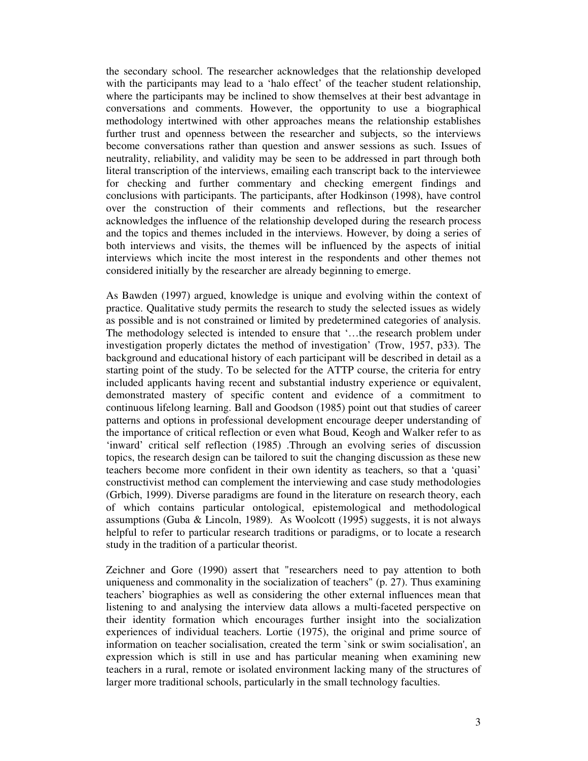the secondary school. The researcher acknowledges that the relationship developed with the participants may lead to a 'halo effect' of the teacher student relationship, where the participants may be inclined to show themselves at their best advantage in conversations and comments. However, the opportunity to use a biographical methodology intertwined with other approaches means the relationship establishes further trust and openness between the researcher and subjects, so the interviews become conversations rather than question and answer sessions as such. Issues of neutrality, reliability, and validity may be seen to be addressed in part through both literal transcription of the interviews, emailing each transcript back to the interviewee for checking and further commentary and checking emergent findings and conclusions with participants. The participants, after Hodkinson (1998), have control over the construction of their comments and reflections, but the researcher acknowledges the influence of the relationship developed during the research process and the topics and themes included in the interviews. However, by doing a series of both interviews and visits, the themes will be influenced by the aspects of initial interviews which incite the most interest in the respondents and other themes not considered initially by the researcher are already beginning to emerge.

As Bawden (1997) argued, knowledge is unique and evolving within the context of practice. Qualitative study permits the research to study the selected issues as widely as possible and is not constrained or limited by predetermined categories of analysis. The methodology selected is intended to ensure that '…the research problem under investigation properly dictates the method of investigation' (Trow, 1957, p33). The background and educational history of each participant will be described in detail as a starting point of the study. To be selected for the ATTP course, the criteria for entry included applicants having recent and substantial industry experience or equivalent, demonstrated mastery of specific content and evidence of a commitment to continuous lifelong learning. Ball and Goodson (1985) point out that studies of career patterns and options in professional development encourage deeper understanding of the importance of critical reflection or even what Boud, Keogh and Walker refer to as 'inward' critical self reflection (1985) .Through an evolving series of discussion topics, the research design can be tailored to suit the changing discussion as these new teachers become more confident in their own identity as teachers, so that a 'quasi' constructivist method can complement the interviewing and case study methodologies (Grbich, 1999). Diverse paradigms are found in the literature on research theory, each of which contains particular ontological, epistemological and methodological assumptions (Guba & Lincoln, 1989). As Woolcott (1995) suggests, it is not always helpful to refer to particular research traditions or paradigms, or to locate a research study in the tradition of a particular theorist.

Zeichner and Gore (1990) assert that "researchers need to pay attention to both uniqueness and commonality in the socialization of teachers" (p. 27). Thus examining teachers' biographies as well as considering the other external influences mean that listening to and analysing the interview data allows a multi-faceted perspective on their identity formation which encourages further insight into the socialization experiences of individual teachers. Lortie (1975), the original and prime source of information on teacher socialisation, created the term `sink or swim socialisation', an expression which is still in use and has particular meaning when examining new teachers in a rural, remote or isolated environment lacking many of the structures of larger more traditional schools, particularly in the small technology faculties.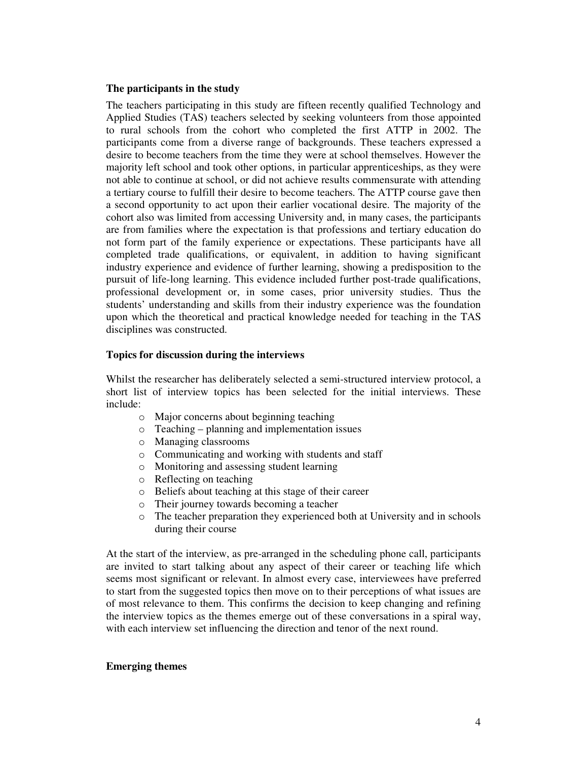#### **The participants in the study**

The teachers participating in this study are fifteen recently qualified Technology and Applied Studies (TAS) teachers selected by seeking volunteers from those appointed to rural schools from the cohort who completed the first ATTP in 2002. The participants come from a diverse range of backgrounds. These teachers expressed a desire to become teachers from the time they were at school themselves. However the majority left school and took other options, in particular apprenticeships, as they were not able to continue at school, or did not achieve results commensurate with attending a tertiary course to fulfill their desire to become teachers. The ATTP course gave then a second opportunity to act upon their earlier vocational desire. The majority of the cohort also was limited from accessing University and, in many cases, the participants are from families where the expectation is that professions and tertiary education do not form part of the family experience or expectations. These participants have all completed trade qualifications, or equivalent, in addition to having significant industry experience and evidence of further learning, showing a predisposition to the pursuit of life-long learning. This evidence included further post-trade qualifications, professional development or, in some cases, prior university studies. Thus the students' understanding and skills from their industry experience was the foundation upon which the theoretical and practical knowledge needed for teaching in the TAS disciplines was constructed.

#### **Topics for discussion during the interviews**

Whilst the researcher has deliberately selected a semi-structured interview protocol, a short list of interview topics has been selected for the initial interviews. These include:

- o Major concerns about beginning teaching
- o Teaching planning and implementation issues
- o Managing classrooms
- o Communicating and working with students and staff
- o Monitoring and assessing student learning
- o Reflecting on teaching
- o Beliefs about teaching at this stage of their career
- o Their journey towards becoming a teacher
- o The teacher preparation they experienced both at University and in schools during their course

At the start of the interview, as pre-arranged in the scheduling phone call, participants are invited to start talking about any aspect of their career or teaching life which seems most significant or relevant. In almost every case, interviewees have preferred to start from the suggested topics then move on to their perceptions of what issues are of most relevance to them. This confirms the decision to keep changing and refining the interview topics as the themes emerge out of these conversations in a spiral way, with each interview set influencing the direction and tenor of the next round.

## **Emerging themes**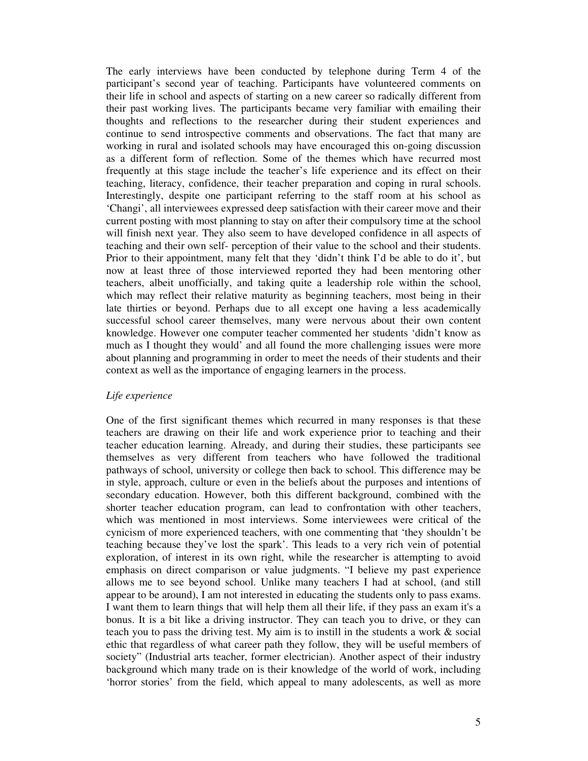The early interviews have been conducted by telephone during Term 4 of the participant's second year of teaching. Participants have volunteered comments on their life in school and aspects of starting on a new career so radically different from their past working lives. The participants became very familiar with emailing their thoughts and reflections to the researcher during their student experiences and continue to send introspective comments and observations. The fact that many are working in rural and isolated schools may have encouraged this on-going discussion as a different form of reflection. Some of the themes which have recurred most frequently at this stage include the teacher's life experience and its effect on their teaching, literacy, confidence, their teacher preparation and coping in rural schools. Interestingly, despite one participant referring to the staff room at his school as 'Changi', all interviewees expressed deep satisfaction with their career move and their current posting with most planning to stay on after their compulsory time at the school will finish next year. They also seem to have developed confidence in all aspects of teaching and their own self- perception of their value to the school and their students. Prior to their appointment, many felt that they 'didn't think I'd be able to do it', but now at least three of those interviewed reported they had been mentoring other teachers, albeit unofficially, and taking quite a leadership role within the school, which may reflect their relative maturity as beginning teachers, most being in their late thirties or beyond. Perhaps due to all except one having a less academically successful school career themselves, many were nervous about their own content knowledge. However one computer teacher commented her students 'didn't know as much as I thought they would' and all found the more challenging issues were more about planning and programming in order to meet the needs of their students and their context as well as the importance of engaging learners in the process.

#### *Life experience*

One of the first significant themes which recurred in many responses is that these teachers are drawing on their life and work experience prior to teaching and their teacher education learning. Already, and during their studies, these participants see themselves as very different from teachers who have followed the traditional pathways of school, university or college then back to school. This difference may be in style, approach, culture or even in the beliefs about the purposes and intentions of secondary education. However, both this different background, combined with the shorter teacher education program, can lead to confrontation with other teachers, which was mentioned in most interviews. Some interviewees were critical of the cynicism of more experienced teachers, with one commenting that 'they shouldn't be teaching because they've lost the spark'. This leads to a very rich vein of potential exploration, of interest in its own right, while the researcher is attempting to avoid emphasis on direct comparison or value judgments. "I believe my past experience allows me to see beyond school. Unlike many teachers I had at school, (and still appear to be around), I am not interested in educating the students only to pass exams. I want them to learn things that will help them all their life, if they pass an exam it's a bonus. It is a bit like a driving instructor. They can teach you to drive, or they can teach you to pass the driving test. My aim is to instill in the students a work & social ethic that regardless of what career path they follow, they will be useful members of society" (Industrial arts teacher, former electrician). Another aspect of their industry background which many trade on is their knowledge of the world of work, including 'horror stories' from the field, which appeal to many adolescents, as well as more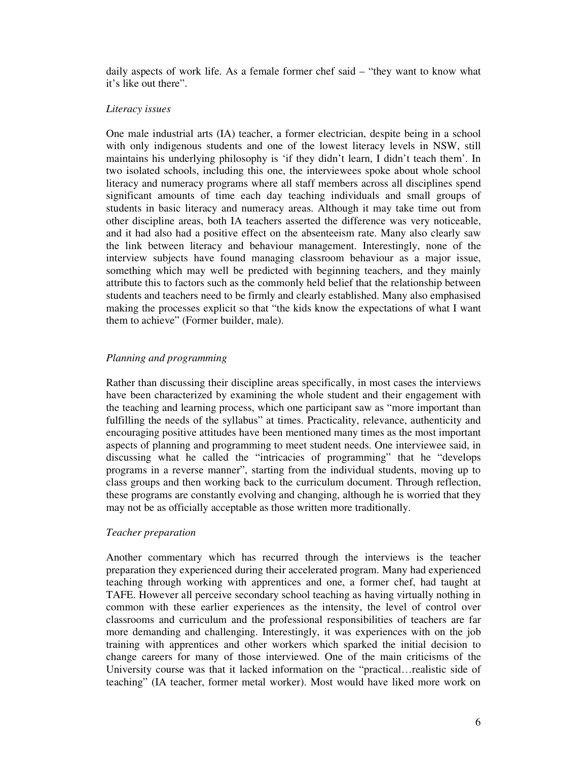daily aspects of work life. As a female former chef said – "they want to know what it's like out there".

#### *Literacy issues*

One male industrial arts (IA) teacher, a former electrician, despite being in a school with only indigenous students and one of the lowest literacy levels in NSW, still maintains his underlying philosophy is 'if they didn't learn, I didn't teach them'. In two isolated schools, including this one, the interviewees spoke about whole school literacy and numeracy programs where all staff members across all disciplines spend significant amounts of time each day teaching individuals and small groups of students in basic literacy and numeracy areas. Although it may take time out from other discipline areas, both IA teachers asserted the difference was very noticeable, and it had also had a positive effect on the absenteeism rate. Many also clearly saw the link between literacy and behaviour management. Interestingly, none of the interview subjects have found managing classroom behaviour as a major issue, something which may well be predicted with beginning teachers, and they mainly attribute this to factors such as the commonly held belief that the relationship between students and teachers need to be firmly and clearly established. Many also emphasised making the processes explicit so that "the kids know the expectations of what I want them to achieve" (Former builder, male).

## *Planning and programming*

Rather than discussing their discipline areas specifically, in most cases the interviews have been characterized by examining the whole student and their engagement with the teaching and learning process, which one participant saw as "more important than fulfilling the needs of the syllabus" at times. Practicality, relevance, authenticity and encouraging positive attitudes have been mentioned many times as the most important aspects of planning and programming to meet student needs. One interviewee said, in discussing what he called the "intricacies of programming" that he "develops programs in a reverse manner", starting from the individual students, moving up to class groups and then working back to the curriculum document. Through reflection, these programs are constantly evolving and changing, although he is worried that they may not be as officially acceptable as those written more traditionally.

#### *Teacher preparation*

Another commentary which has recurred through the interviews is the teacher preparation they experienced during their accelerated program. Many had experienced teaching through working with apprentices and one, a former chef, had taught at TAFE. However all perceive secondary school teaching as having virtually nothing in common with these earlier experiences as the intensity, the level of control over classrooms and curriculum and the professional responsibilities of teachers are far more demanding and challenging. Interestingly, it was experiences with on the job training with apprentices and other workers which sparked the initial decision to change careers for many of those interviewed. One of the main criticisms of the University course was that it lacked information on the "practical…realistic side of teaching" (IA teacher, former metal worker). Most would have liked more work on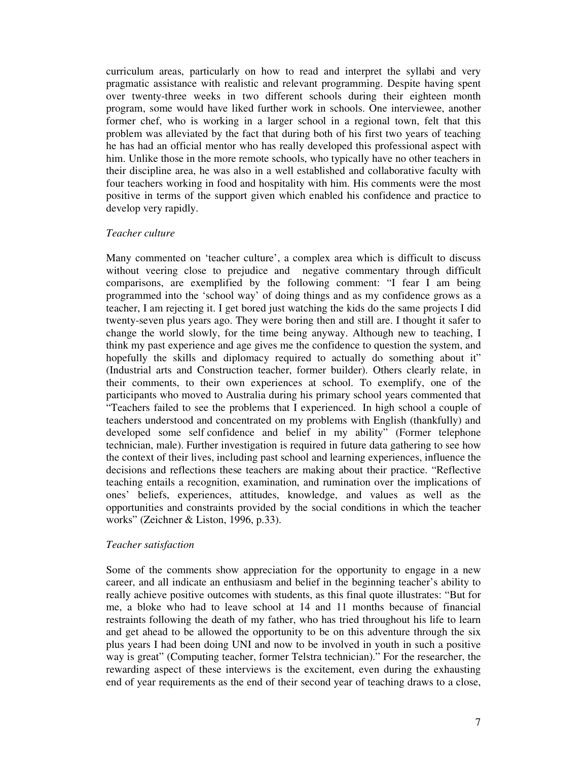curriculum areas, particularly on how to read and interpret the syllabi and very pragmatic assistance with realistic and relevant programming. Despite having spent over twenty-three weeks in two different schools during their eighteen month program, some would have liked further work in schools. One interviewee, another former chef, who is working in a larger school in a regional town, felt that this problem was alleviated by the fact that during both of his first two years of teaching he has had an official mentor who has really developed this professional aspect with him. Unlike those in the more remote schools, who typically have no other teachers in their discipline area, he was also in a well established and collaborative faculty with four teachers working in food and hospitality with him. His comments were the most positive in terms of the support given which enabled his confidence and practice to develop very rapidly.

#### *Teacher culture*

Many commented on 'teacher culture', a complex area which is difficult to discuss without veering close to prejudice and negative commentary through difficult comparisons, are exemplified by the following comment: "I fear I am being programmed into the 'school way' of doing things and as my confidence grows as a teacher, I am rejecting it. I get bored just watching the kids do the same projects I did twenty-seven plus years ago. They were boring then and still are. I thought it safer to change the world slowly, for the time being anyway. Although new to teaching, I think my past experience and age gives me the confidence to question the system, and hopefully the skills and diplomacy required to actually do something about it" (Industrial arts and Construction teacher, former builder). Others clearly relate, in their comments, to their own experiences at school. To exemplify, one of the participants who moved to Australia during his primary school years commented that "Teachers failed to see the problems that I experienced. In high school a couple of teachers understood and concentrated on my problems with English (thankfully) and developed some self confidence and belief in my ability" (Former telephone technician, male). Further investigation is required in future data gathering to see how the context of their lives, including past school and learning experiences, influence the decisions and reflections these teachers are making about their practice. "Reflective teaching entails a recognition, examination, and rumination over the implications of ones' beliefs, experiences, attitudes, knowledge, and values as well as the opportunities and constraints provided by the social conditions in which the teacher works" (Zeichner & Liston, 1996, p.33).

## *Teacher satisfaction*

Some of the comments show appreciation for the opportunity to engage in a new career, and all indicate an enthusiasm and belief in the beginning teacher's ability to really achieve positive outcomes with students, as this final quote illustrates: "But for me, a bloke who had to leave school at 14 and 11 months because of financial restraints following the death of my father, who has tried throughout his life to learn and get ahead to be allowed the opportunity to be on this adventure through the six plus years I had been doing UNI and now to be involved in youth in such a positive way is great" (Computing teacher, former Telstra technician)." For the researcher, the rewarding aspect of these interviews is the excitement, even during the exhausting end of year requirements as the end of their second year of teaching draws to a close,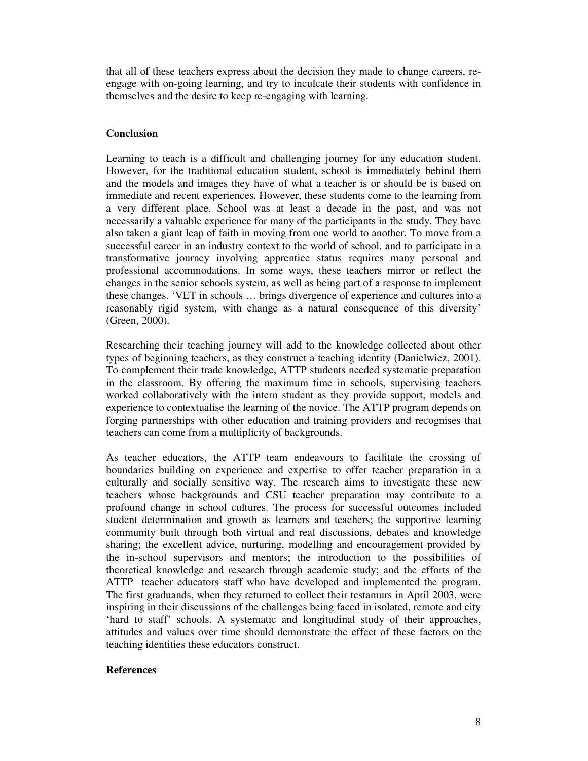that all of these teachers express about the decision they made to change careers, reengage with on-going learning, and try to inculcate their students with confidence in themselves and the desire to keep re-engaging with learning.

## **Conclusion**

Learning to teach is a difficult and challenging journey for any education student. However, for the traditional education student, school is immediately behind them and the models and images they have of what a teacher is or should be is based on immediate and recent experiences. However, these students come to the learning from a very different place. School was at least a decade in the past, and was not necessarily a valuable experience for many of the participants in the study. They have also taken a giant leap of faith in moving from one world to another. To move from a successful career in an industry context to the world of school, and to participate in a transformative journey involving apprentice status requires many personal and professional accommodations. In some ways, these teachers mirror or reflect the changes in the senior schools system, as well as being part of a response to implement these changes. 'VET in schools … brings divergence of experience and cultures into a reasonably rigid system, with change as a natural consequence of this diversity' (Green, 2000).

Researching their teaching journey will add to the knowledge collected about other types of beginning teachers, as they construct a teaching identity (Danielwicz, 2001). To complement their trade knowledge, ATTP students needed systematic preparation in the classroom. By offering the maximum time in schools, supervising teachers worked collaboratively with the intern student as they provide support, models and experience to contextualise the learning of the novice. The ATTP program depends on forging partnerships with other education and training providers and recognises that teachers can come from a multiplicity of backgrounds.

As teacher educators, the ATTP team endeavours to facilitate the crossing of boundaries building on experience and expertise to offer teacher preparation in a culturally and socially sensitive way. The research aims to investigate these new teachers whose backgrounds and CSU teacher preparation may contribute to a profound change in school cultures. The process for successful outcomes included student determination and growth as learners and teachers; the supportive learning community built through both virtual and real discussions, debates and knowledge sharing; the excellent advice, nurturing, modelling and encouragement provided by the in-school supervisors and mentors; the introduction to the possibilities of theoretical knowledge and research through academic study; and the efforts of the ATTP teacher educators staff who have developed and implemented the program. The first graduands, when they returned to collect their testamurs in April 2003, were inspiring in their discussions of the challenges being faced in isolated, remote and city 'hard to staff' schools. A systematic and longitudinal study of their approaches, attitudes and values over time should demonstrate the effect of these factors on the teaching identities these educators construct.

#### **References**